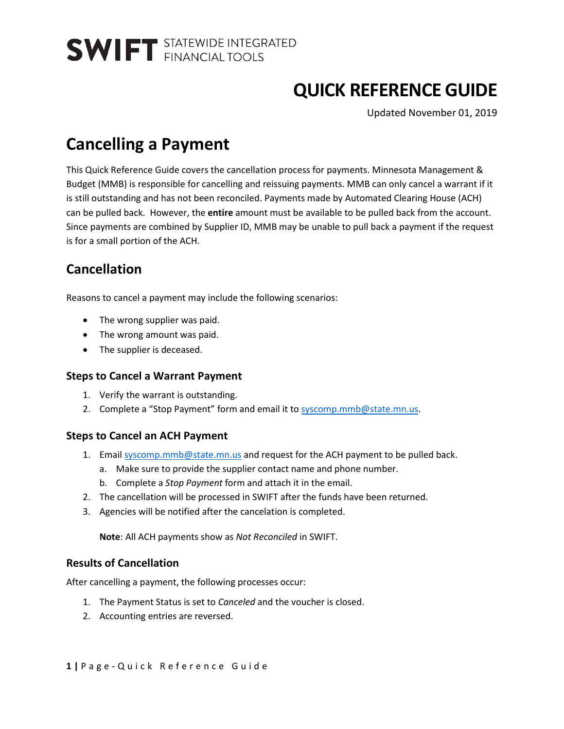# **QUICK REFERENCE GUIDE**

Updated November 01, 2019

## **Cancelling a Payment**

This Quick Reference Guide covers the cancellation process for payments. Minnesota Management & Budget (MMB) is responsible for cancelling and reissuing payments. MMB can only cancel a warrant if it is still outstanding and has not been reconciled. Payments made by Automated Clearing House (ACH) can be pulled back. However, the **entire** amount must be available to be pulled back from the account. Since payments are combined by Supplier ID, MMB may be unable to pull back a payment if the request is for a small portion of the ACH.

## **Cancellation**

Reasons to cancel a payment may include the following scenarios:

- The wrong supplier was paid.
- The wrong amount was paid.
- The supplier is deceased.

### **Steps to Cancel a Warrant Payment**

- 1. Verify the warrant is outstanding.
- 2. Complete a "Stop Payment" form and email it to [syscomp.mmb@state.mn.us.](mailto:syscomp.mmb@state.mn.us)

### **Steps to Cancel an ACH Payment**

- 1. Email [syscomp.mmb@state.mn.us](mailto:syscomp.mmb@state.mn.us) and request for the ACH payment to be pulled back.
	- a. Make sure to provide the supplier contact name and phone number.
	- b. Complete a *Stop Payment* form and attach it in the email.
- 2. The cancellation will be processed in SWIFT after the funds have been returned.
- 3. Agencies will be notified after the cancelation is completed.

**Note**: All ACH payments show as *Not Reconciled* in SWIFT.

### **Results of Cancellation**

After cancelling a payment, the following processes occur:

- 1. The Payment Status is set to *Canceled* and the voucher is closed.
- 2. Accounting entries are reversed.

**1 |** Page - Quick Reference Guide